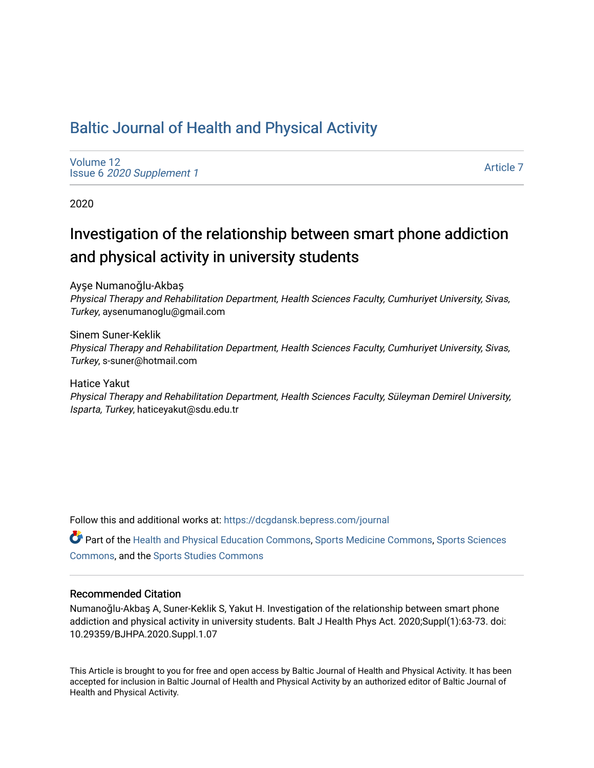# [Baltic Journal of Health and Physical Activity](https://dcgdansk.bepress.com/journal)

[Volume 12](https://dcgdansk.bepress.com/journal/vol12) Issue 6 [2020 Supplement 1](https://dcgdansk.bepress.com/journal/vol12/iss6) 

[Article 7](https://dcgdansk.bepress.com/journal/vol12/iss6/7) 

2020

# Investigation of the relationship between smart phone addiction and physical activity in university students

Ayşe Numanoğlu-Akbaş Physical Therapy and Rehabilitation Department, Health Sciences Faculty, Cumhuriyet University, Sivas, Turkey, aysenumanoglu@gmail.com

Sinem Suner-Keklik Physical Therapy and Rehabilitation Department, Health Sciences Faculty, Cumhuriyet University, Sivas, Turkey, s-suner@hotmail.com

Hatice Yakut Physical Therapy and Rehabilitation Department, Health Sciences Faculty, Süleyman Demirel University, Isparta, Turkey, haticeyakut@sdu.edu.tr

Follow this and additional works at: [https://dcgdansk.bepress.com/journal](https://dcgdansk.bepress.com/journal?utm_source=dcgdansk.bepress.com%2Fjournal%2Fvol12%2Fiss6%2F7&utm_medium=PDF&utm_campaign=PDFCoverPages)

Part of the [Health and Physical Education Commons](http://network.bepress.com/hgg/discipline/1327?utm_source=dcgdansk.bepress.com%2Fjournal%2Fvol12%2Fiss6%2F7&utm_medium=PDF&utm_campaign=PDFCoverPages), [Sports Medicine Commons,](http://network.bepress.com/hgg/discipline/1331?utm_source=dcgdansk.bepress.com%2Fjournal%2Fvol12%2Fiss6%2F7&utm_medium=PDF&utm_campaign=PDFCoverPages) [Sports Sciences](http://network.bepress.com/hgg/discipline/759?utm_source=dcgdansk.bepress.com%2Fjournal%2Fvol12%2Fiss6%2F7&utm_medium=PDF&utm_campaign=PDFCoverPages) [Commons](http://network.bepress.com/hgg/discipline/759?utm_source=dcgdansk.bepress.com%2Fjournal%2Fvol12%2Fiss6%2F7&utm_medium=PDF&utm_campaign=PDFCoverPages), and the [Sports Studies Commons](http://network.bepress.com/hgg/discipline/1198?utm_source=dcgdansk.bepress.com%2Fjournal%2Fvol12%2Fiss6%2F7&utm_medium=PDF&utm_campaign=PDFCoverPages) 

### Recommended Citation

Numanoğlu-Akbaş A, Suner-Keklik S, Yakut H. Investigation of the relationship between smart phone addiction and physical activity in university students. Balt J Health Phys Act. 2020;Suppl(1):63-73. doi: 10.29359/BJHPA.2020.Suppl.1.07

This Article is brought to you for free and open access by Baltic Journal of Health and Physical Activity. It has been accepted for inclusion in Baltic Journal of Health and Physical Activity by an authorized editor of Baltic Journal of Health and Physical Activity.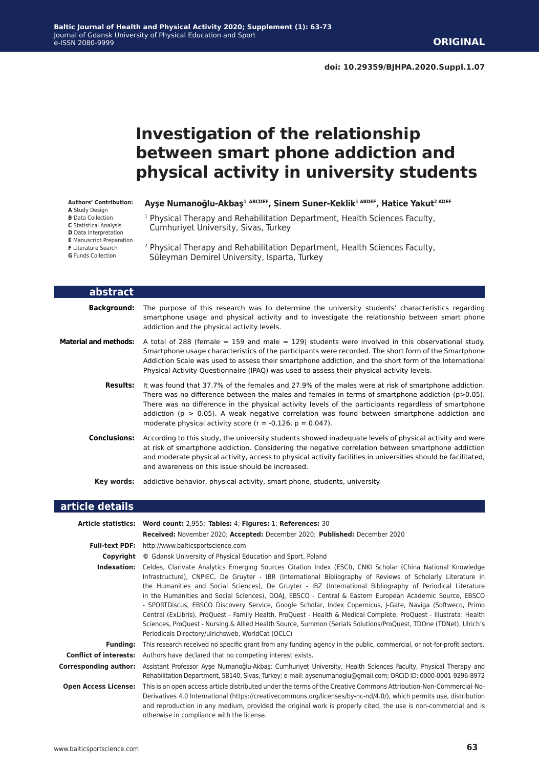# **Investigation of the relationship between smart phone addiction and physical activity in university students**

**Authors' Contribution: A** Study Design

**B** Data Collection

**C** Statistical Analysis

- **D** Data Interpretation
- **E** Manuscript Preparation

**F** Literature Search

**G** Funds Collection

**Ayşe Numanoğlu-Akbaş<sup>1</sup> ABCDEF, Sinem Suner-Keklik1 ABDEF, Hatice Yakut2 ADEF**

- <sup>1</sup> Physical Therapy and Rehabilitation Department, Health Sciences Faculty, Cumhuriyet University, Sivas, Turkey
- 2 Physical Therapy and Rehabilitation Department, Health Sciences Faculty, Süleyman Demirel University, Isparta, Turkey

| abstract              |                                                                                                                                                                                                                                                                                                                                                                                                                                                                                               |
|-----------------------|-----------------------------------------------------------------------------------------------------------------------------------------------------------------------------------------------------------------------------------------------------------------------------------------------------------------------------------------------------------------------------------------------------------------------------------------------------------------------------------------------|
| <b>Background:</b>    | The purpose of this research was to determine the university students' characteristics regarding<br>smartphone usage and physical activity and to investigate the relationship between smart phone<br>addiction and the physical activity levels.                                                                                                                                                                                                                                             |
| Material and methods: | A total of 288 (female $=$ 159 and male $=$ 129) students were involved in this observational study.<br>Smartphone usage characteristics of the participants were recorded. The short form of the Smartphone<br>Addiction Scale was used to assess their smartphone addiction, and the short form of the International<br>Physical Activity Questionnaire (IPAQ) was used to assess their physical activity levels.                                                                           |
| <b>Results:</b>       | It was found that 37.7% of the females and 27.9% of the males were at risk of smartphone addiction.<br>There was no difference between the males and females in terms of smartphone addiction ( $p > 0.05$ ).<br>There was no difference in the physical activity levels of the participants regardless of smartphone<br>addiction ( $p > 0.05$ ). A weak negative correlation was found between smartphone addiction and<br>moderate physical activity score ( $r = -0.126$ , $p = 0.047$ ). |
| <b>Conclusions:</b>   | According to this study, the university students showed inadequate levels of physical activity and were<br>at risk of smartphone addiction. Considering the negative correlation between smartphone addiction<br>and moderate physical activity, access to physical activity facilities in universities should be facilitated,<br>and awareness on this issue should be increased.                                                                                                            |
| Kev words:            | addictive behavior, physical activity, smart phone, students, university.                                                                                                                                                                                                                                                                                                                                                                                                                     |
| article details       |                                                                                                                                                                                                                                                                                                                                                                                                                                                                                               |

|                               | Article statistics: Word count: 2,955; Tables: 4; Figures: 1; References: 30                                                                                                                                                                                                                                                                                                                                                                                                                                                                                                                                                                                                                                                                                                                                                                                  |  |  |  |  |
|-------------------------------|---------------------------------------------------------------------------------------------------------------------------------------------------------------------------------------------------------------------------------------------------------------------------------------------------------------------------------------------------------------------------------------------------------------------------------------------------------------------------------------------------------------------------------------------------------------------------------------------------------------------------------------------------------------------------------------------------------------------------------------------------------------------------------------------------------------------------------------------------------------|--|--|--|--|
|                               | Received: November 2020; Accepted: December 2020; Published: December 2020                                                                                                                                                                                                                                                                                                                                                                                                                                                                                                                                                                                                                                                                                                                                                                                    |  |  |  |  |
| <b>Full-text PDF:</b>         | http://www.balticsportscience.com                                                                                                                                                                                                                                                                                                                                                                                                                                                                                                                                                                                                                                                                                                                                                                                                                             |  |  |  |  |
| Copyright                     | © Gdansk University of Physical Education and Sport, Poland                                                                                                                                                                                                                                                                                                                                                                                                                                                                                                                                                                                                                                                                                                                                                                                                   |  |  |  |  |
| Indexation:                   | Celdes, Clarivate Analytics Emerging Sources Citation Index (ESCI), CNKI Scholar (China National Knowledge<br>Infrastructure), CNPIEC, De Gruyter - IBR (International Bibliography of Reviews of Scholarly Literature in<br>the Humanities and Social Sciences), De Gruyter - IBZ (International Bibliography of Periodical Literature<br>in the Humanities and Social Sciences), DOAJ, EBSCO - Central & Eastern European Academic Source, EBSCO<br>- SPORTDiscus, EBSCO Discovery Service, Google Scholar, Index Copernicus, J-Gate, Naviga (Softweco, Primo<br>Central (ExLibris), ProQuest - Family Health, ProQuest - Health & Medical Complete, ProQuest - Illustrata: Health<br>Sciences, ProQuest - Nursing & Allied Health Source, Summon (Serials Solutions/ProQuest, TDOne (TDNet), Ulrich's<br>Periodicals Directory/ulrichsweb, WorldCat (OCLC) |  |  |  |  |
| <b>Funding:</b>               | This research received no specific grant from any funding agency in the public, commercial, or not-for-profit sectors.                                                                                                                                                                                                                                                                                                                                                                                                                                                                                                                                                                                                                                                                                                                                        |  |  |  |  |
| <b>Conflict of interests:</b> | Authors have declared that no competing interest exists.                                                                                                                                                                                                                                                                                                                                                                                                                                                                                                                                                                                                                                                                                                                                                                                                      |  |  |  |  |
| <b>Corresponding author:</b>  | Assistant Professor Ayse Numanoğlu-Akbas; Cumhuriyet University, Health Sciences Faculty, Physical Therapy and<br>Rehabilitation Department, 58140, Sivas, Turkey; e-mail: aysenumanoglu@gmail.com; ORCiD ID: 0000-0001-9296-8972                                                                                                                                                                                                                                                                                                                                                                                                                                                                                                                                                                                                                             |  |  |  |  |
| <b>Open Access License:</b>   | This is an open access article distributed under the terms of the Creative Commons Attribution-Non-Commercial-No-<br>Derivatives 4.0 International (https://creativecommons.org/licenses/by-nc-nd/4.0/), which permits use, distribution<br>and reproduction in any medium, provided the original work is properly cited, the use is non-commercial and is<br>otherwise in compliance with the license.                                                                                                                                                                                                                                                                                                                                                                                                                                                       |  |  |  |  |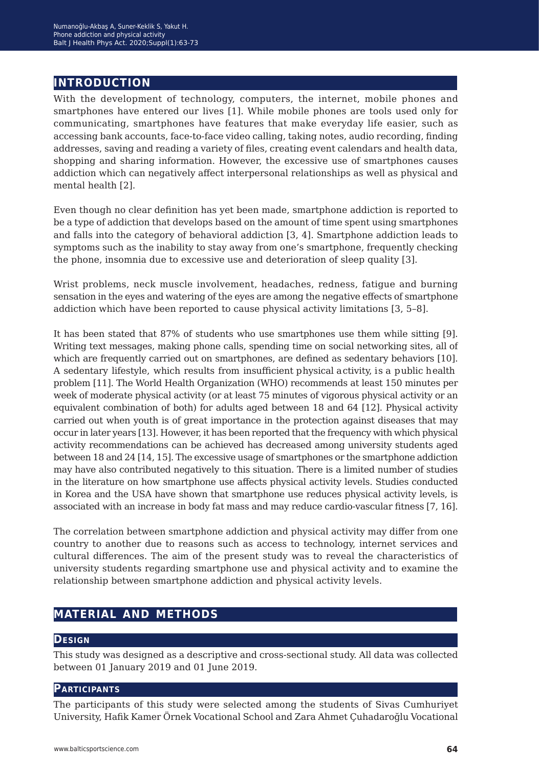# **introduction**

With the development of technology, computers, the internet, mobile phones and smartphones have entered our lives [1]. While mobile phones are tools used only for communicating, smartphones have features that make everyday life easier, such as accessing bank accounts, face-to-face video calling, taking notes, audio recording, finding addresses, saving and reading a variety of files, creating event calendars and health data, shopping and sharing information. However, the excessive use of smartphones causes addiction which can negatively affect interpersonal relationships as well as physical and mental health [2].

Even though no clear definition has yet been made, smartphone addiction is reported to be a type of addiction that develops based on the amount of time spent using smartphones and falls into the category of behavioral addiction [3, 4]. Smartphone addiction leads to symptoms such as the inability to stay away from one's smartphone, frequently checking the phone, insomnia due to excessive use and deterioration of sleep quality [3].

Wrist problems, neck muscle involvement, headaches, redness, fatigue and burning sensation in the eyes and watering of the eyes are among the negative effects of smartphone addiction which have been reported to cause physical activity limitations [3, 5–8].

It has been stated that 87% of students who use smartphones use them while sitting [9]. Writing text messages, making phone calls, spending time on social networking sites, all of which are frequently carried out on smartphones, are defined as sedentary behaviors [10]. A sedentary lifestyle, which results from insufficient physical activity, is a public health problem [11]. The World Health Organization (WHO) recommends at least 150 minutes per week of moderate physical activity (or at least 75 minutes of vigorous physical activity or an equivalent combination of both) for adults aged between 18 and 64 [12]. Physical activity carried out when youth is of great importance in the protection against diseases that may occur in later years [13]. However, it has been reported that the frequency with which physical activity recommendations can be achieved has decreased among university students aged between 18 and 24 [14, 15]. The excessive usage of smartphones or the smartphone addiction may have also contributed negatively to this situation. There is a limited number of studies in the literature on how smartphone use affects physical activity levels. Studies conducted in Korea and the USA have shown that smartphone use reduces physical activity levels, is associated with an increase in body fat mass and may reduce cardio-vascular fitness [7, 16].

The correlation between smartphone addiction and physical activity may differ from one country to another due to reasons such as access to technology, internet services and cultural differences. The aim of the present study was to reveal the characteristics of university students regarding smartphone use and physical activity and to examine the relationship between smartphone addiction and physical activity levels.

# **material and methods**

#### **Design**

This study was designed as a descriptive and cross-sectional study. All data was collected between 01 January 2019 and 01 June 2019.

#### **Participants**

The participants of this study were selected among the students of Sivas Cumhuriyet University, Hafik Kamer Örnek Vocational School and Zara Ahmet Çuhadaroğlu Vocational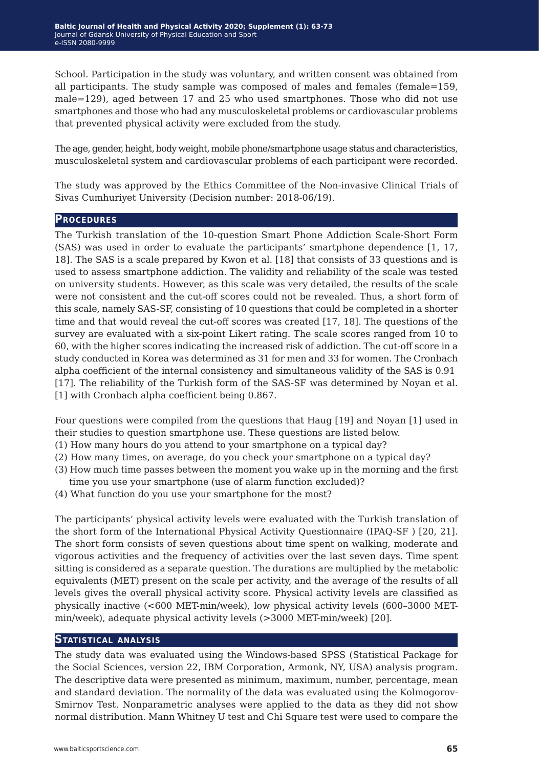School. Participation in the study was voluntary, and written consent was obtained from all participants. The study sample was composed of males and females (female=159, male=129), aged between 17 and 25 who used smartphones. Those who did not use smartphones and those who had any musculoskeletal problems or cardiovascular problems that prevented physical activity were excluded from the study.

The age, gender, height, body weight, mobile phone/smartphone usage status and characteristics, musculoskeletal system and cardiovascular problems of each participant were recorded.

The study was approved by the Ethics Committee of the Non-invasive Clinical Trials of Sivas Cumhuriyet University (Decision number: 2018-06/19).

#### **Procedures**

The Turkish translation of the 10-question Smart Phone Addiction Scale-Short Form (SAS) was used in order to evaluate the participants' smartphone dependence [1, 17, 18]. The SAS is a scale prepared by Kwon et al. [18] that consists of 33 questions and is used to assess smartphone addiction. The validity and reliability of the scale was tested on university students. However, as this scale was very detailed, the results of the scale were not consistent and the cut-off scores could not be revealed. Thus, a short form of this scale, namely SAS-SF, consisting of 10 questions that could be completed in a shorter time and that would reveal the cut-off scores was created [17, 18]. The questions of the survey are evaluated with a six-point Likert rating. The scale scores ranged from 10 to 60, with the higher scores indicating the increased risk of addiction. The cut-off score in a study conducted in Korea was determined as 31 for men and 33 for women. The Cronbach alpha coefficient of the internal consistency and simultaneous validity of the SAS is 0.91 [17]. The reliability of the Turkish form of the SAS-SF was determined by Noyan et al. [1] with Cronbach alpha coefficient being 0.867.

Four questions were compiled from the questions that Haug [19] and Noyan [1] used in their studies to question smartphone use. These questions are listed below.

- (1) How many hours do you attend to your smartphone on a typical day?
- (2) How many times, on average, do you check your smartphone on a typical day?
- (3) How much time passes between the moment you wake up in the morning and the first time you use your smartphone (use of alarm function excluded)?
- (4) What function do you use your smartphone for the most?

The participants' physical activity levels were evaluated with the Turkish translation of the short form of the International Physical Activity Questionnaire (IPAQ-SF ) [20, 21]. The short form consists of seven questions about time spent on walking, moderate and vigorous activities and the frequency of activities over the last seven days. Time spent sitting is considered as a separate question. The durations are multiplied by the metabolic equivalents (MET) present on the scale per activity, and the average of the results of all levels gives the overall physical activity score. Physical activity levels are classified as physically inactive (<600 MET-min/week), low physical activity levels (600–3000 METmin/week), adequate physical activity levels (>3000 MET-min/week) [20].

#### **Statistical analysis**

The study data was evaluated using the Windows-based SPSS (Statistical Package for the Social Sciences, version 22, IBM Corporation, Armonk, NY, USA) analysis program. The descriptive data were presented as minimum, maximum, number, percentage, mean and standard deviation. The normality of the data was evaluated using the Kolmogorov-Smirnov Test. Nonparametric analyses were applied to the data as they did not show normal distribution. Mann Whitney U test and Chi Square test were used to compare the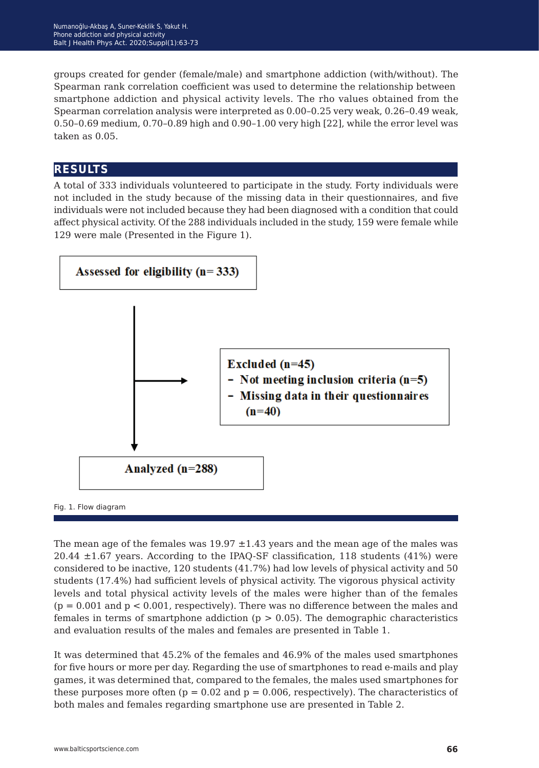groups created for gender (female/male) and smartphone addiction (with/without). The Spearman rank correlation coefficient was used to determine the relationship between smartphone addiction and physical activity levels. The rho values obtained from the Spearman correlation analysis were interpreted as 0.00–0.25 very weak, 0.26–0.49 weak, 0.50–0.69 medium, 0.70–0.89 high and 0.90–1.00 very high [22], while the error level was taken as 0.05.

# **results**

A total of 333 individuals volunteered to participate in the study. Forty individuals were not included in the study because of the missing data in their questionnaires, and five individuals were not included because they had been diagnosed with a condition that could affect physical activity. Of the 288 individuals included in the study, 159 were female while 129 were male (Presented in the Figure 1).



The mean age of the females was  $19.97 \pm 1.43$  years and the mean age of the males was  $20.44 \pm 1.67$  years. According to the IPAQ-SF classification, 118 students (41%) were considered to be inactive, 120 students (41.7%) had low levels of physical activity and 50 students (17.4%) had sufficient levels of physical activity. The vigorous physical activity levels and total physical activity levels of the males were higher than of the females  $(p = 0.001$  and  $p < 0.001$ , respectively). There was no difference between the males and females in terms of smartphone addiction ( $p > 0.05$ ). The demographic characteristics and evaluation results of the males and females are presented in Table 1.

It was determined that 45.2% of the females and 46.9% of the males used smartphones for five hours or more per day. Regarding the use of smartphones to read e-mails and play games, it was determined that, compared to the females, the males used smartphones for these purposes more often ( $p = 0.02$  and  $p = 0.006$ , respectively). The characteristics of both males and females regarding smartphone use are presented in Table 2.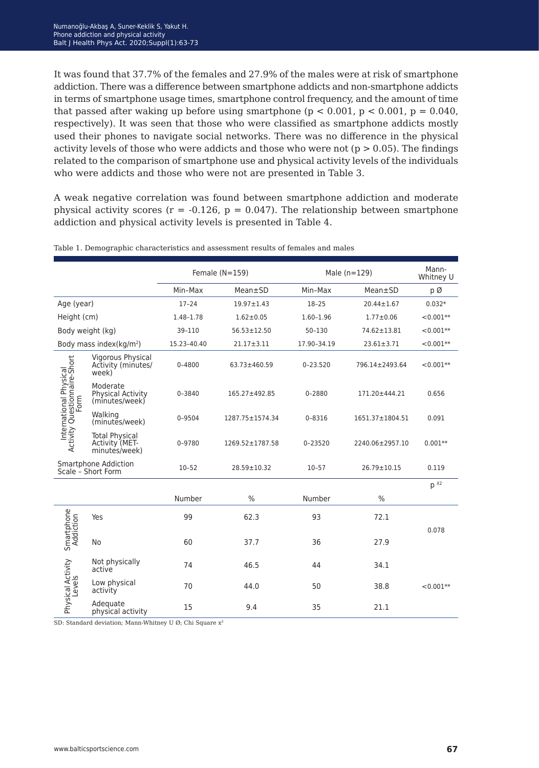It was found that 37.7% of the females and 27.9% of the males were at risk of smartphone addiction. There was a difference between smartphone addicts and non-smartphone addicts in terms of smartphone usage times, smartphone control frequency, and the amount of time that passed after waking up before using smartphone ( $p < 0.001$ ,  $p < 0.001$ ,  $p = 0.040$ ) respectively). It was seen that those who were classified as smartphone addicts mostly used their phones to navigate social networks. There was no difference in the physical activity levels of those who were addicts and those who were not ( $p > 0.05$ ). The findings related to the comparison of smartphone use and physical activity levels of the individuals who were addicts and those who were not are presented in Table 3.

A weak negative correlation was found between smartphone addiction and moderate physical activity scores ( $r = -0.126$ ,  $p = 0.047$ ). The relationship between smartphone addiction and physical activity levels is presented in Table 4.

|                                                                |                                                          | Female $(N=159)$ |                   | Male $(n=129)$ |                  | Mann-<br>Whitney U |
|----------------------------------------------------------------|----------------------------------------------------------|------------------|-------------------|----------------|------------------|--------------------|
|                                                                |                                                          | Min-Max          | Mean±SD           | Min-Max        | Mean±SD          | рØ                 |
| Age (year)                                                     |                                                          | $17 - 24$        | $19.97 \pm 1.43$  | $18 - 25$      | $20.44 \pm 1.67$ | $0.032*$           |
| Height (cm)                                                    |                                                          | 1.48-1.78        | $1.62 \pm 0.05$   | 1.60-1.96      | $1.77 \pm 0.06$  | $< 0.001**$        |
| Body weight (kg)                                               |                                                          | 39-110           | $56.53 \pm 12.50$ | 50-130         | 74.62±13.81      | $< 0.001**$        |
| Body mass index(kg/m <sup>2</sup> )                            |                                                          | 15.23-40.40      | $21.17 \pm 3.11$  | 17.90-34.19    | $23.61 \pm 3.71$ | $< 0.001**$        |
| International Physical<br>Activity Questionnaire-Short<br>Form | Vigorous Physical<br>Activity (minutes/<br>week)         | $0 - 4800$       | 63.73±460.59      | $0 - 23.520$   | 796.14±2493.64   | $< 0.001**$        |
|                                                                | Moderate<br>Physical Activity<br>(minutes/week)          | $0 - 3840$       | 165.27±492.85     | $0 - 2880$     | 171.20±444.21    | 0.656              |
|                                                                | Walking<br>(minutes/week)                                | 0-9504           | 1287.75±1574.34   | $0 - 8316$     | 1651.37±1804.51  | 0.091              |
|                                                                | <b>Total Physical</b><br>Activity (MET-<br>minutes/week) | 0-9780           | 1269.52±1787.58   | 0-23520        | 2240.06±2957.10  | $0.001**$          |
| Smartphone Addiction<br>Scale - Short Form                     |                                                          | $10 - 52$        | 28.59±10.32       | $10 - 57$      | 26.79±10.15      | 0.119              |
|                                                                |                                                          |                  |                   |                |                  | $p^{x_2}$          |
|                                                                |                                                          | Number           | $\frac{0}{0}$     | Number         | $\%$             |                    |
| Smartphone<br>Addiction                                        | Yes                                                      | 99               | 62.3              | 93             | 72.1             | 0.078              |
|                                                                | No                                                       | 60               | 37.7              | 36             | 27.9             |                    |
| Physical Activity<br>Levels                                    | Not physically<br>active                                 | 74               | 46.5              | 44             | 34.1             |                    |
|                                                                | Low physical<br>activity                                 | 70               | 44.0              | 50             | 38.8             | $< 0.001**$        |
|                                                                | Adequate<br>physical activity                            | 15               | 9.4               | 35             | 21.1             |                    |

Table 1. Demographic characteristics and assessment results of females and males

SD: Standard deviation: Mann-Whitney U Ø: Chi Square x<sup>2</sup>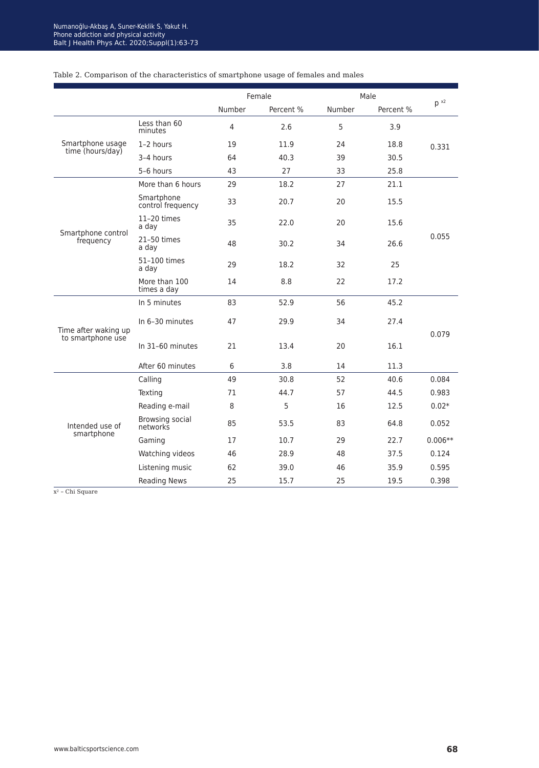|                                      |                                 | Female         |           | Male   |           |           |
|--------------------------------------|---------------------------------|----------------|-----------|--------|-----------|-----------|
|                                      |                                 | Number         | Percent % | Number | Percent % | $p^{x2}$  |
| Smartphone usage<br>time (hours/day) | Less than 60<br>minutes         | $\overline{4}$ | 2.6       | 5      | 3.9       |           |
|                                      | 1-2 hours                       | 19             | 11.9      | 24     | 18.8      | 0.331     |
|                                      | 3-4 hours                       | 64             | 40.3      | 39     | 30.5      |           |
|                                      | 5-6 hours                       | 43             | 27        | 33     | 25.8      |           |
|                                      | More than 6 hours               | 29             | 18.2      | 27     | 21.1      |           |
|                                      | Smartphone<br>control frequency | 33             | 20.7      | 20     | 15.5      |           |
| Smartphone control                   | 11-20 times<br>a day            | 35             | 22.0      | 20     | 15.6      |           |
| frequency                            | 21-50 times<br>a day            | 48             | 30.2      | 34     | 26.6      | 0.055     |
|                                      | 51-100 times<br>a day           | 29             | 18.2      | 32     | 25        |           |
|                                      | More than 100<br>times a day    | 14             | 8.8       | 22     | 17.2      |           |
|                                      | In 5 minutes                    | 83             | 52.9      | 56     | 45.2      |           |
| Time after waking up                 | In 6-30 minutes                 | 47             | 29.9      | 34     | 27.4      |           |
| to smartphone use                    | In 31-60 minutes                | 21             | 13.4      | 20     | 16.1      | 0.079     |
|                                      | After 60 minutes                | 6              | 3.8       | 14     | 11.3      |           |
|                                      | Calling                         | 49             | 30.8      | 52     | 40.6      | 0.084     |
|                                      | Texting                         | 71             | 44.7      | 57     | 44.5      | 0.983     |
|                                      | Reading e-mail                  | 8              | 5         | 16     | 12.5      | $0.02*$   |
| Intended use of                      | Browsing social<br>networks     | 85             | 53.5      | 83     | 64.8      | 0.052     |
| smartphone                           | Gaming                          | 17             | 10.7      | 29     | 22.7      | $0.006**$ |
|                                      | Watching videos                 | 46             | 28.9      | 48     | 37.5      | 0.124     |
|                                      | Listening music                 | 62             | 39.0      | 46     | 35.9      | 0.595     |
|                                      | <b>Reading News</b>             | 25             | 15.7      | 25     | 19.5      | 0.398     |

### Table 2. Comparison of the characteristics of smartphone usage of females and males

x2 *−* Chi Square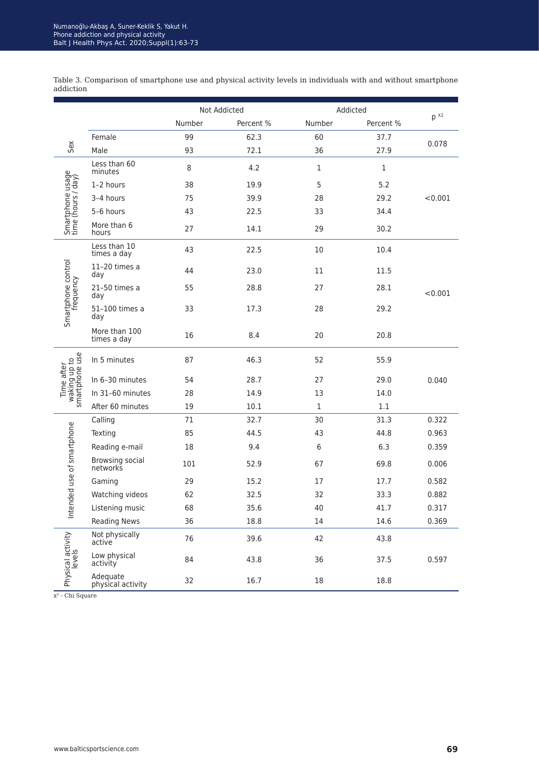|                                              |                               | Not Addicted<br>Number<br>Percent % |      | Addicted     |              | p x <sub>2</sub> |  |
|----------------------------------------------|-------------------------------|-------------------------------------|------|--------------|--------------|------------------|--|
|                                              |                               |                                     |      | Number       | Percent %    |                  |  |
|                                              | Female                        | 99                                  | 62.3 | 60           | 37.7         |                  |  |
| Sex                                          | Male                          | 93                                  | 72.1 | 36           | 27.9         | 0.078            |  |
| Smartphone usage<br>time (hours / day)       | Less than 60<br>minutes       | 8                                   | 4.2  | $\mathbf{1}$ | $\mathbf{1}$ |                  |  |
|                                              | 1-2 hours                     | 38                                  | 19.9 | 5            | 5.2          |                  |  |
|                                              | 3-4 hours                     | 75                                  | 39.9 | 28           | 29.2         | < 0.001          |  |
|                                              | 5-6 hours                     | 43                                  | 22.5 | 33           | 34.4         |                  |  |
|                                              | More than 6<br>hours          | 27                                  | 14.1 | 29           | 30.2         |                  |  |
| Smartphone control<br>frequency              | Less than 10<br>times a day   | 43                                  | 22.5 | 10           | 10.4         |                  |  |
|                                              | 11-20 times a<br>day          | 44                                  | 23.0 | 11           | 11.5         |                  |  |
|                                              | 21-50 times a<br>day          | 55                                  | 28.8 | 27           | 28.1         | < 0.001          |  |
|                                              | 51-100 times a<br>day         | 33                                  | 17.3 | 28           | 29.2         |                  |  |
|                                              | More than 100<br>times a day  | 16                                  | 8.4  | 20           | 20.8         |                  |  |
| Time after<br>waking up to<br>smartphone use | In 5 minutes                  | 87                                  | 46.3 | 52           | 55.9         |                  |  |
|                                              | In 6-30 minutes               | 54                                  | 28.7 | 27           | 29.0         | 0.040            |  |
|                                              | In 31-60 minutes              | 28                                  | 14.9 | 13           | 14.0         |                  |  |
|                                              | After 60 minutes              | 19                                  | 10.1 | $\mathbf{1}$ | 1.1          |                  |  |
|                                              | Calling                       | 71                                  | 32.7 | 30           | 31.3         | 0.322            |  |
|                                              | Texting                       | 85                                  | 44.5 | 43           | 44.8         | 0.963            |  |
|                                              | Reading e-mail                | 18                                  | 9.4  | 6            | 6.3          | 0.359            |  |
| Intended use of smartphone                   | Browsing social<br>networks   | 101                                 | 52.9 | 67           | 69.8         | 0.006            |  |
|                                              | Gaming                        | 29                                  | 15.2 | 17           | 17.7         | 0.582            |  |
|                                              | Watching videos               | 62                                  | 32.5 | 32           | 33.3         | 0.882            |  |
|                                              | Listening music               | 68                                  | 35.6 | 40           | 41.7         | 0.317            |  |
|                                              | <b>Reading News</b>           | 36                                  | 18.8 | 14           | 14.6         | 0.369            |  |
|                                              | Not physically<br>active      | 76                                  | 39.6 | 42           | 43.8         |                  |  |
| Physical activity<br>evels                   | Low physical<br>activity      | 84                                  | 43.8 | 36           | 37.5         | 0.597            |  |
|                                              | Adequate<br>physical activity | 32                                  | 16.7 | 18           | 18.8         |                  |  |

Table 3. Comparison of smartphone use and physical activity levels in individuals with and without smartphone addiction

 $\overline{x^2}$  - Chi Square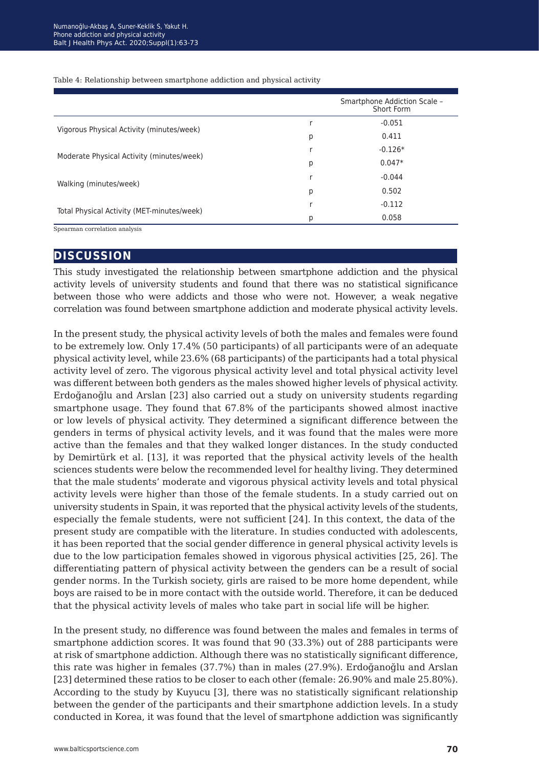|                                            |   | Smartphone Addiction Scale -<br>Short Form |
|--------------------------------------------|---|--------------------------------------------|
|                                            |   | $-0.051$                                   |
| Vigorous Physical Activity (minutes/week)  | р | 0.411                                      |
| Moderate Physical Activity (minutes/week)  |   | $-0.126*$                                  |
|                                            | р | $0.047*$                                   |
|                                            | r | $-0.044$                                   |
| Walking (minutes/week)                     | р | 0.502                                      |
|                                            |   | $-0.112$                                   |
| Total Physical Activity (MET-minutes/week) | р | 0.058                                      |

Table 4: Relationship between smartphone addiction and physical activity

Spearman correlation analysis

## **discussion**

This study investigated the relationship between smartphone addiction and the physical activity levels of university students and found that there was no statistical significance between those who were addicts and those who were not. However, a weak negative correlation was found between smartphone addiction and moderate physical activity levels.

In the present study, the physical activity levels of both the males and females were found to be extremely low. Only 17.4% (50 participants) of all participants were of an adequate physical activity level, while 23.6% (68 participants) of the participants had a total physical activity level of zero. The vigorous physical activity level and total physical activity level was different between both genders as the males showed higher levels of physical activity. Erdoğanoğlu and Arslan [23] also carried out a study on university students regarding smartphone usage. They found that 67.8% of the participants showed almost inactive or low levels of physical activity. They determined a significant difference between the genders in terms of physical activity levels, and it was found that the males were more active than the females and that they walked longer distances. In the study conducted by Demirtürk et al. [13], it was reported that the physical activity levels of the health sciences students were below the recommended level for healthy living. They determined that the male students' moderate and vigorous physical activity levels and total physical activity levels were higher than those of the female students. In a study carried out on university students in Spain, it was reported that the physical activity levels of the students, especially the female students, were not sufficient [24]. In this context, the data of the present study are compatible with the literature. In studies conducted with adolescents, it has been reported that the social gender difference in general physical activity levels is due to the low participation females showed in vigorous physical activities [25, 26]. The differentiating pattern of physical activity between the genders can be a result of social gender norms. In the Turkish society, girls are raised to be more home dependent, while boys are raised to be in more contact with the outside world. Therefore, it can be deduced that the physical activity levels of males who take part in social life will be higher.

In the present study, no difference was found between the males and females in terms of smartphone addiction scores. It was found that 90 (33.3%) out of 288 participants were at risk of smartphone addiction. Although there was no statistically significant difference, this rate was higher in females (37.7%) than in males (27.9%). Erdoğanoğlu and Arslan [23] determined these ratios to be closer to each other (female: 26.90% and male 25.80%). According to the study by Kuyucu [3], there was no statistically significant relationship between the gender of the participants and their smartphone addiction levels. In a study conducted in Korea, it was found that the level of smartphone addiction was significantly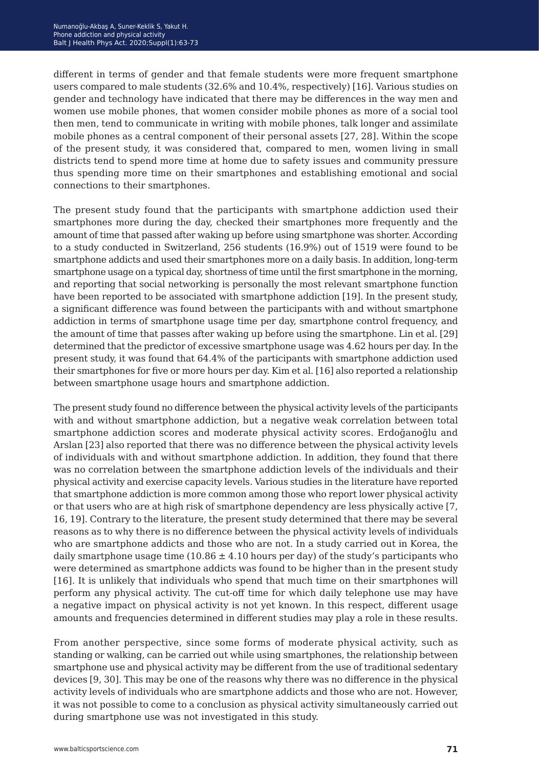different in terms of gender and that female students were more frequent smartphone users compared to male students (32.6% and 10.4%, respectively) [16]. Various studies on gender and technology have indicated that there may be differences in the way men and women use mobile phones, that women consider mobile phones as more of a social tool then men, tend to communicate in writing with mobile phones, talk longer and assimilate mobile phones as a central component of their personal assets [27, 28]. Within the scope of the present study, it was considered that, compared to men, women living in small districts tend to spend more time at home due to safety issues and community pressure thus spending more time on their smartphones and establishing emotional and social connections to their smartphones.

The present study found that the participants with smartphone addiction used their smartphones more during the day, checked their smartphones more frequently and the amount of time that passed after waking up before using smartphone was shorter. According to a study conducted in Switzerland, 256 students (16.9%) out of 1519 were found to be smartphone addicts and used their smartphones more on a daily basis. In addition, long-term smartphone usage on a typical day, shortness of time until the first smartphone in the morning, and reporting that social networking is personally the most relevant smartphone function have been reported to be associated with smartphone addiction [19]. In the present study, a significant difference was found between the participants with and without smartphone addiction in terms of smartphone usage time per day, smartphone control frequency, and the amount of time that passes after waking up before using the smartphone. Lin et al. [29] determined that the predictor of excessive smartphone usage was 4.62 hours per day. In the present study, it was found that 64.4% of the participants with smartphone addiction used their smartphones for five or more hours per day. Kim et al. [16] also reported a relationship between smartphone usage hours and smartphone addiction.

The present study found no difference between the physical activity levels of the participants with and without smartphone addiction, but a negative weak correlation between total smartphone addiction scores and moderate physical activity scores. Erdoğanoğlu and Arslan [23] also reported that there was no difference between the physical activity levels of individuals with and without smartphone addiction. In addition, they found that there was no correlation between the smartphone addiction levels of the individuals and their physical activity and exercise capacity levels. Various studies in the literature have reported that smartphone addiction is more common among those who report lower physical activity or that users who are at high risk of smartphone dependency are less physically active [7, 16, 19]. Contrary to the literature, the present study determined that there may be several reasons as to why there is no difference between the physical activity levels of individuals who are smartphone addicts and those who are not. In a study carried out in Korea, the daily smartphone usage time  $(10.86 \pm 4.10$  hours per day) of the study's participants who were determined as smartphone addicts was found to be higher than in the present study [16]. It is unlikely that individuals who spend that much time on their smartphones will perform any physical activity. The cut-off time for which daily telephone use may have a negative impact on physical activity is not yet known. In this respect, different usage amounts and frequencies determined in different studies may play a role in these results.

From another perspective, since some forms of moderate physical activity, such as standing or walking, can be carried out while using smartphones, the relationship between smartphone use and physical activity may be different from the use of traditional sedentary devices [9, 30]. This may be one of the reasons why there was no difference in the physical activity levels of individuals who are smartphone addicts and those who are not. However, it was not possible to come to a conclusion as physical activity simultaneously carried out during smartphone use was not investigated in this study.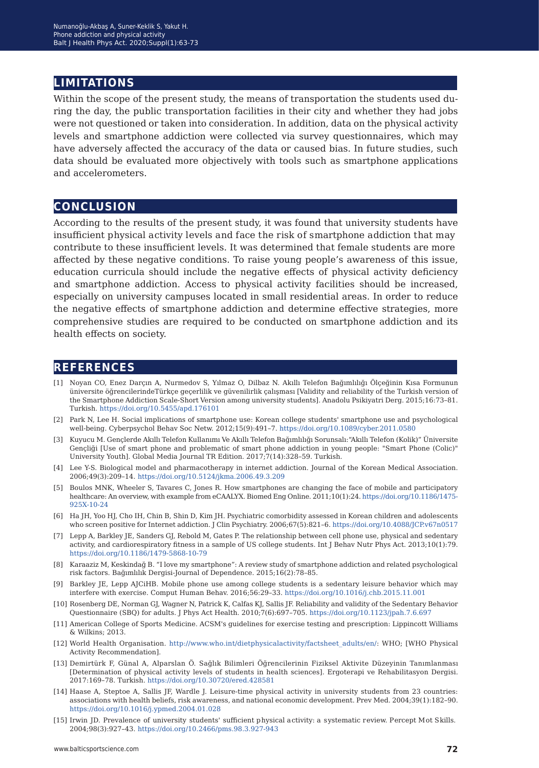## **limitations**

Within the scope of the present study, the means of transportation the students used during the day, the public transportation facilities in their city and whether they had jobs were not questioned or taken into consideration. In addition, data on the physical activity levels and smartphone addiction were collected via survey questionnaires, which may have adversely affected the accuracy of the data or caused bias. In future studies, such data should be evaluated more objectively with tools such as smartphone applications and accelerometers.

# **conclusion**

According to the results of the present study, it was found that university students have insufficient physical activity levels and face the risk of smartphone addiction that may contribute to these insufficient levels. It was determined that female students are more affected by these negative conditions. To raise young people's awareness of this issue, education curricula should include the negative effects of physical activity deficiency and smartphone addiction. Access to physical activity facilities should be increased, especially on university campuses located in small residential areas. In order to reduce the negative effects of smartphone addiction and determine effective strategies, more comprehensive studies are required to be conducted on smartphone addiction and its health effects on society.

## **references**

- [1] Noyan CO, Enez Darçın A, Nurmedov S, Yılmaz O, Dilbaz N. Akıllı Telefon Bağımlılığı Ölçeğinin Kısa Formunun üniversite öğrencilerindeTürkçe geçerlilik ve güvenilirlik çalışması [Validity and reliability of the Turkish version of the Smartphone Addiction Scale-Short Version among university students]. Anadolu Psikiyatri Derg. 2015;16:73–81. Turkish. <https://doi.org/10.5455/apd.176101>
- [2] Park N, Lee H. Social implications of smartphone use: Korean college students' smartphone use and psychological well-being. Cyberpsychol Behav Soc Netw. 2012;15(9):491–7.<https://doi.org/10.1089/cyber.2011.0580>
- [3] Kuyucu M. Gençlerde Akıllı Telefon Kullanımı Ve Akıllı Telefon Bağımlılığı Sorunsalı:"Akıllı Telefon (Kolik)" Üniversite Gençliği [Use of smart phone and problematic of smart phone addiction in young people: "Smart Phone (Colic)" University Youth]. Global Media Journal TR Edition. 2017;7(14):328–59. Turkish.
- [4] Lee Y-S. Biological model and pharmacotherapy in internet addiction. Journal of the Korean Medical Association. 2006;49(3):209–14. <https://doi.org/10.5124/jkma.2006.49.3.209>
- [5] Boulos MNK, Wheeler S, Tavares C, Jones R. How smartphones are changing the face of mobile and participatory healthcare: An overview, with example from eCAALYX. Biomed Eng Online. 2011;10(1):24. [https://doi.org/10.1186/1475-](https://doi.org/10.1186/1475-925X-10-24 ) [925X-10-24](https://doi.org/10.1186/1475-925X-10-24 )
- [6] Ha JH, Yoo HJ, Cho IH, Chin B, Shin D, Kim JH. Psychiatric comorbidity assessed in Korean children and adolescents who screen positive for Internet addiction. J Clin Psychiatry. 2006;67(5):821–6.<https://doi.org/10.4088/JCP.v67n0517>
- [7] Lepp A, Barkley JE, Sanders GJ, Rebold M, Gates P. The relationship between cell phone use, physical and sedentary activity, and cardiorespiratory fitness in a sample of US college students. Int J Behav Nutr Phys Act. 2013;10(1):79. <https://doi.org/10.1186/1479-5868-10-79>
- [8] Karaaziz M, Keskindağ B. "I love my smartphone": A review study of smartphone addiction and related psychological risk factors. Bağımlılık Dergisi-Journal of Dependence. 2015;16(2):78–85.
- [9] Barkley JE, Lepp AJCiHB. Mobile phone use among college students is a sedentary leisure behavior which may interfere with exercise. Comput Human Behav. 2016;56:29–33. <https://doi.org/10.1016/j.chb.2015.11.001>
- [10] Rosenberg DE, Norman GJ, Wagner N, Patrick K, Calfas KJ, Sallis JF. Reliability and validity of the Sedentary Behavior Questionnaire (SBQ) for adults. J Phys Act Health. 2010;7(6):697–705. <https://doi.org/10.1123/jpah.7.6.697>
- [11] American College of Sports Medicine. ACSM's guidelines for exercise testing and prescription: Lippincott Williams & Wilkins; 2013.
- [12] World Health Organisation. [http://www.who.int/dietphysicalactivity/factsheet\\_adults/en/](http://www.who.int/dietphysicalactivity/factsheet_adults/en/): WHO; [WHO Physical Activity Recommendation].
- [13] Demirtürk F, Günal A, Alparslan Ö. Sağlık Bilimleri Öğrencilerinin Fiziksel Aktivite Düzeyinin Tanımlanması [Determination of physical activity levels of students in health sciences]. Ergoterapi ve Rehabilitasyon Dergisi. 2017:169–78. Turkish.<https://doi.org/10.30720/ered.428581>
- [14] Haase A, Steptoe A, Sallis JF, Wardle J. Leisure-time physical activity in university students from 23 countries: associations with health beliefs, risk awareness, and national economic development. Prev Med. 2004;39(1):182–90. <https://doi.org/10.1016/j.ypmed.2004.01.028>
- [15] Irwin JD. Prevalence of university students' sufficient physical activity: a systematic review. Percept Mot Skills. 2004;98(3):927–43. <https://doi.org/10.2466/pms.98.3.927-943>